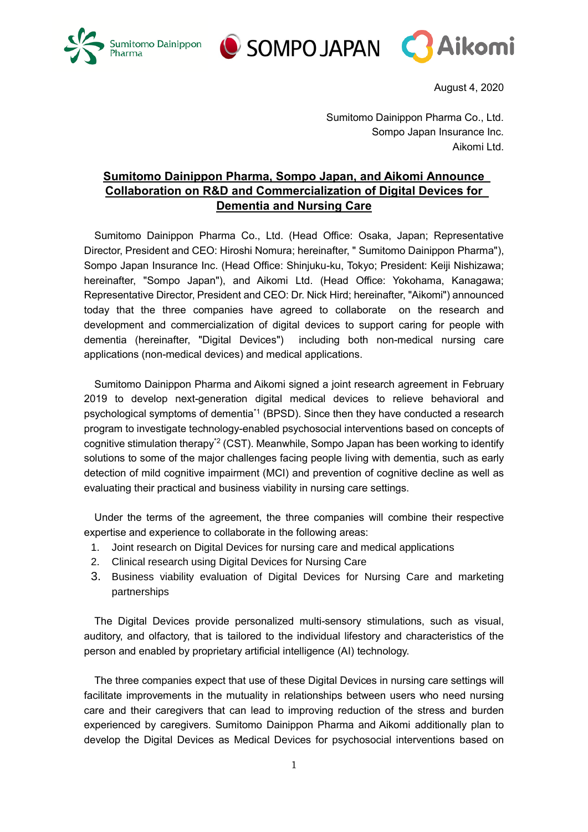





August 4, 2020

Sumitomo Dainippon Pharma Co., Ltd. Sompo Japan Insurance Inc. Aikomi Ltd.

# **Sumitomo Dainippon Pharma, Sompo Japan, and Aikomi Announce Collaboration on R&D and Commercialization of Digital Devices for Dementia and Nursing Care**

Sumitomo Dainippon Pharma Co., Ltd. (Head Office: Osaka, Japan; Representative Director, President and CEO: Hiroshi Nomura; hereinafter, " Sumitomo Dainippon Pharma"), Sompo Japan Insurance Inc. (Head Office: Shinjuku-ku, Tokyo; President: Keiji Nishizawa; hereinafter, "Sompo Japan"), and Aikomi Ltd. (Head Office: Yokohama, Kanagawa; Representative Director, President and CEO: Dr. Nick Hird; hereinafter, "Aikomi") announced today that the three companies have agreed to collaborate on the research and development and commercialization of digital devices to support caring for people with dementia (hereinafter, "Digital Devices") including both non-medical nursing care applications (non-medical devices) and medical applications.

Sumitomo Dainippon Pharma and Aikomi signed a joint research agreement in February 2019 to develop next-generation digital medical devices to relieve behavioral and psychological symptoms of dementia\*1 (BPSD). Since then they have conducted a research program to investigate technology-enabled psychosocial interventions based on concepts of cognitive stimulation therapy\*2 (CST). Meanwhile, Sompo Japan has been working to identify solutions to some of the major challenges facing people living with dementia, such as early detection of mild cognitive impairment (MCI) and prevention of cognitive decline as well as evaluating their practical and business viability in nursing care settings.

Under the terms of the agreement, the three companies will combine their respective expertise and experience to collaborate in the following areas:

- 1. Joint research on Digital Devices for nursing care and medical applications
- 2. Clinical research using Digital Devices for Nursing Care
- 3. Business viability evaluation of Digital Devices for Nursing Care and marketing partnerships

The Digital Devices provide personalized multi-sensory stimulations, such as visual, auditory, and olfactory, that is tailored to the individual lifestory and characteristics of the person and enabled by proprietary artificial intelligence (AI) technology.

The three companies expect that use of these Digital Devices in nursing care settings will facilitate improvements in the mutuality in relationships between users who need nursing care and their caregivers that can lead to improving reduction of the stress and burden experienced by caregivers. Sumitomo Dainippon Pharma and Aikomi additionally plan to develop the Digital Devices as Medical Devices for psychosocial interventions based on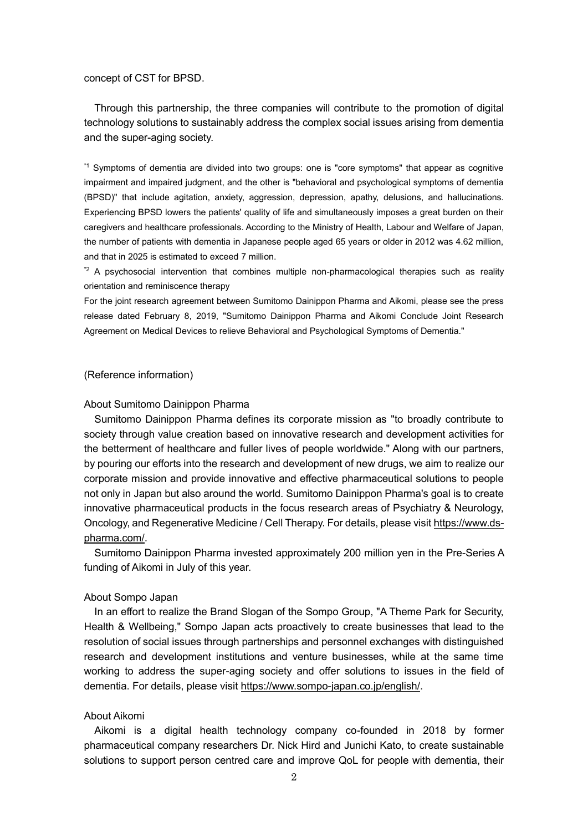#### concept of CST for BPSD.

Through this partnership, the three companies will contribute to the promotion of digital technology solutions to sustainably address the complex social issues arising from dementia and the super-aging society.

\*1 Symptoms of dementia are divided into two groups: one is "core symptoms" that appear as cognitive impairment and impaired judgment, and the other is "behavioral and psychological symptoms of dementia (BPSD)" that include agitation, anxiety, aggression, depression, apathy, delusions, and hallucinations. Experiencing BPSD lowers the patients' quality of life and simultaneously imposes a great burden on their caregivers and healthcare professionals. According to the Ministry of Health, Labour and Welfare of Japan, the number of patients with dementia in Japanese people aged 65 years or older in 2012 was 4.62 million, and that in 2025 is estimated to exceed 7 million.

\*2 A psychosocial intervention that combines multiple non-pharmacological therapies such as reality orientation and reminiscence therapy

For the joint research agreement between Sumitomo Dainippon Pharma and Aikomi, please see the press release dated February 8, 2019, "Sumitomo Dainippon Pharma and Aikomi Conclude Joint Research Agreement on Medical Devices to relieve Behavioral and Psychological Symptoms of Dementia."

### (Reference information)

### About Sumitomo Dainippon Pharma

Sumitomo Dainippon Pharma defines its corporate mission as "to broadly contribute to society through value creation based on innovative research and development activities for the betterment of healthcare and fuller lives of people worldwide." Along with our partners, by pouring our efforts into the research and development of new drugs, we aim to realize our corporate mission and provide innovative and effective pharmaceutical solutions to people not only in Japan but also around the world. Sumitomo Dainippon Pharma's goal is to create innovative pharmaceutical products in the focus research areas of Psychiatry & Neurology, Oncology, and Regenerative Medicine / Cell Therapy. For details, please visit [https://www.ds](https://www.ds-pharma.com/)[pharma.com/.](https://www.ds-pharma.com/)

Sumitomo Dainippon Pharma invested approximately 200 million yen in the Pre-Series A funding of Aikomi in July of this year.

## About Sompo Japan

In an effort to realize the Brand Slogan of the Sompo Group, "A Theme Park for Security, Health & Wellbeing," Sompo Japan acts proactively to create businesses that lead to the resolution of social issues through partnerships and personnel exchanges with distinguished research and development institutions and venture businesses, while at the same time working to address the super-aging society and offer solutions to issues in the field of dementia. For details, please visit [https://www.sompo-japan.co.jp/english/.](https://www.sompo-japan.co.jp/english/)

#### About Aikomi

Aikomi is a digital health technology company co-founded in 2018 by former pharmaceutical company researchers Dr. Nick Hird and Junichi Kato, to create sustainable solutions to support person centred care and improve QoL for people with dementia, their